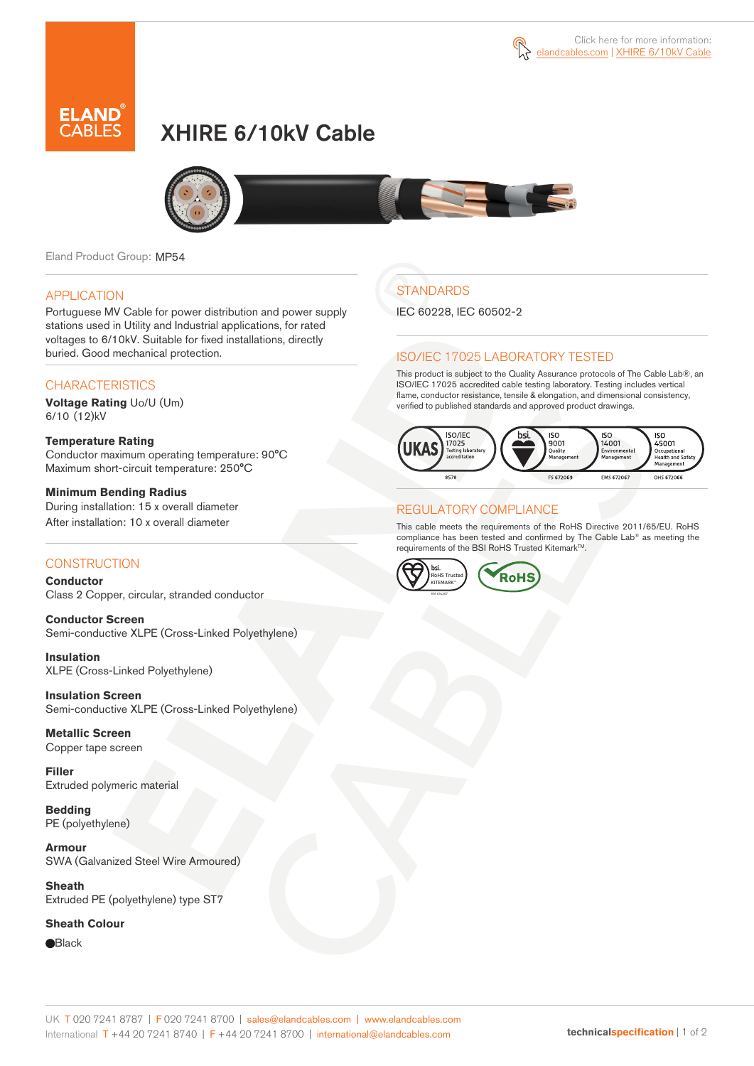

# XHIRE 6/10kV Cable



Eland Product Group: MP54

### APPLICATION

Portuguese MV Cable for power distribution and power supply stations used in Utility and Industrial applications, for rated voltages to 6/10kV. Suitable for fixed installations, directly buried. Good mechanical protection.

### **CHARACTERISTICS**

**Voltage Rating** Uo/U (Um) 6/10 (12)kV

#### **Temperature Rating**  Conductor maximum operating temperature: 90°C Maximum short-circuit temperature: 250°C

**Minimum Bending Radius**  During installation: 15 x overall diameter After installation: 10 x overall diameter

### **CONSTRUCTION**

**Conductor**  Class 2 Copper, circular, stranded conductor

**Conductor Screen** Semi-conductive XLPE (Cross-Linked Polyethylene)

**Insulation** XLPE (Cross-Linked Polyethylene)

**Insulation Screen** Semi-conductive XLPE (Cross-Linked Polyethylene)

**Metallic Screen**  Copper tape screen

**Filler** Extruded polymeric material

**Bedding** PE (polyethylene)

**Armour** SWA (Galvanized Steel Wire Armoured)

**Sheath** Extruded PE (polyethylene) type ST7

**Sheath Colour** 

**e**Black

# **STANDARDS**

IEC 60228, IEC 60502-2

### ISO/IEC 17025 LABORATORY TESTED

This product is subject to the Quality Assurance protocols of The Cable Lab®, an ISO/IEC 17025 accredited cable testing laboratory. Testing includes vertical flame, conductor resistance, tensile & elongation, and dimensional consistency, verified to published standards and approved product drawings.



### REGULATORY COMPLIANCE

This cable meets the requirements of the RoHS Directive 2011/65/EU. RoHS compliance has been tested and confirmed by The Cable Lab® as meeting the requirements of the BSI RoHS Trusted Kitemark™.